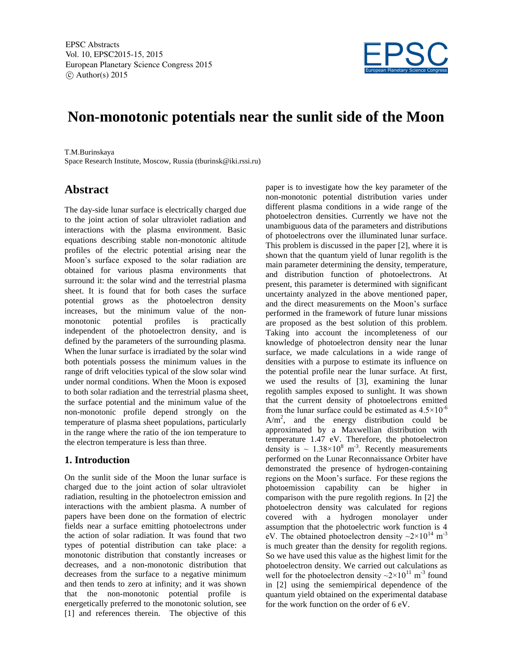

# **Non-monotonic potentials near the sunlit side of the Moon**

T.M.Burinskaya Space Research Institute, Moscow, Russia (tburinsk@iki.rssi.ru)

# **Abstract**

The day-side lunar surface is electrically charged due to the joint action of solar ultraviolet radiation and interactions with the plasma environment. Basic equations describing stable non-monotonic altitude profiles of the electric potential arising near the Moon's surface exposed to the solar radiation are obtained for various plasma environments that surround it: the solar wind and the terrestrial plasma sheet. It is found that for both cases the surface potential grows as the photoelectron density increases, but the minimum value of the nonmonotonic potential profiles is practically independent of the photoelectron density, and is defined by the parameters of the surrounding plasma. When the lunar surface is irradiated by the solar wind both potentials possess the minimum values in the range of drift velocities typical of the slow solar wind under normal conditions. When the Moon is exposed to both solar radiation and the terrestrial plasma sheet, the surface potential and the minimum value of the non-monotonic profile depend strongly on the temperature of plasma sheet populations, particularly in the range where the ratio of the ion temperature to the electron temperature is less than three.

## **1. Introduction**

On the sunlit side of the Moon the lunar surface is charged due to the joint action of solar ultraviolet radiation, resulting in the photoelectron emission and interactions with the ambient plasma. A number of papers have been done on the formation of electric fields near a surface emitting photoelectrons under the action of solar radiation. It was found that two types of potential distribution can take place: a monotonic distribution that constantly increases or decreases, and a non-monotonic distribution that decreases from the surface to a negative minimum and then tends to zero at infinity; and it was shown that the non-monotonic potential profile is energetically preferred to the monotonic solution, see [1] and references therein. The objective of this

paper is to investigate how the key parameter of the non-monotonic potential distribution varies under different plasma conditions in a wide range of the photoelectron densities. Currently we have not the unambiguous data of the parameters and distributions of photoelectrons over the illuminated lunar surface. This problem is discussed in the paper [2], where it is shown that the quantum yield of lunar regolith is the main parameter determining the density, temperature, and distribution function of photoelectrons. At present, this parameter is determined with significant uncertainty analyzed in the above mentioned paper, and the direct measurements on the Moon's surface performed in the framework of future lunar missions are proposed as the best solution of this problem. Taking into account the incompleteness of our knowledge of photoelectron density near the lunar surface, we made calculations in a wide range of densities with a purpose to estimate its influence on the potential profile near the lunar surface. At first, we used the results of [3], examining the lunar regolith samples exposed to sunlight. It was shown that the current density of photoelectrons emitted from the lunar surface could be estimated as  $4.5 \times 10^{-6}$  $A/m<sup>2</sup>$ , and the energy distribution could be approximated by a Maxwellian distribution with temperature 1.47 eV. Therefore, the photoelectron density is  $\sim 1.38 \times 10^8$  m<sup>-3</sup>. Recently measurements performed on the Lunar Reconnaissance Orbiter have demonstrated the presence of hydrogen-containing regions on the Moon's surface. For these regions the photoemission capability can be higher in comparison with the pure regolith regions. In [2] the photoelectron density was calculated for regions covered with a hydrogen monolayer under assumption that the photoelectric work function is 4 eV. The obtained photoelectron density  $\sim 2 \times 10^{14}$  m<sup>-3</sup> is much greater than the density for regolith regions. So we have used this value as the highest limit for the photoelectron density. We carried out calculations as well for the photoelectron density  $\sim 2 \times 10^{11}$  m<sup>-3</sup> found in [2] using the semiempirical dependence of the quantum yield obtained on the experimental database for the work function on the order of 6 eV.